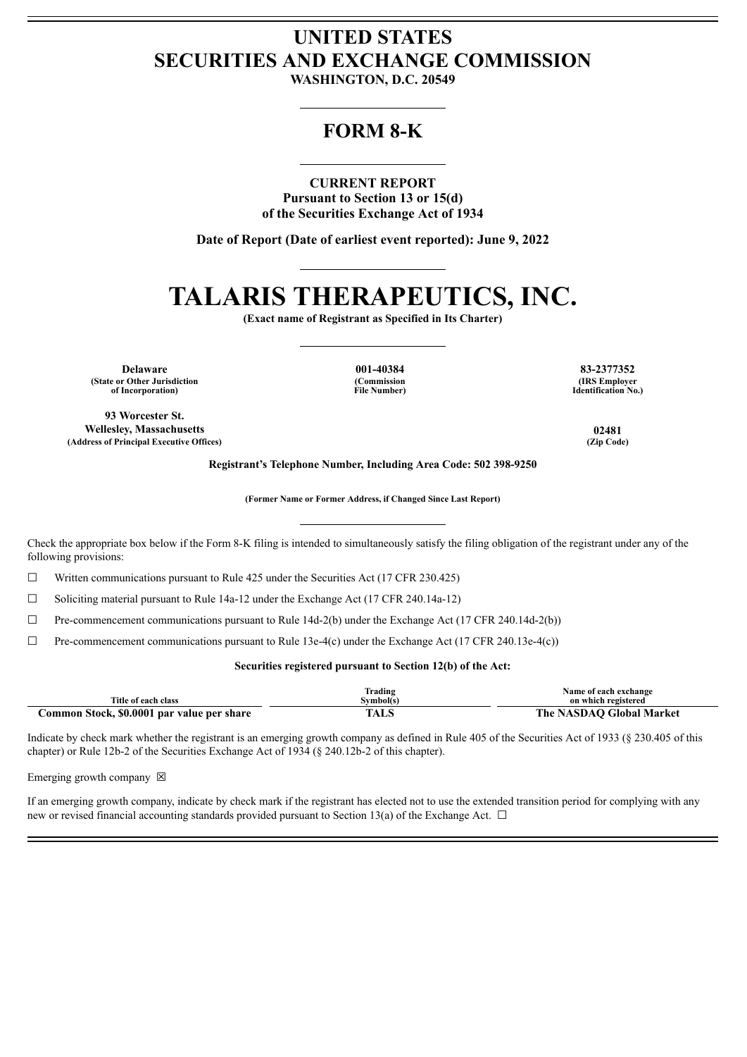## **UNITED STATES SECURITIES AND EXCHANGE COMMISSION**

**WASHINGTON, D.C. 20549**

### **FORM 8-K**

### **CURRENT REPORT**

**Pursuant to Section 13 or 15(d) of the Securities Exchange Act of 1934**

**Date of Report (Date of earliest event reported): June 9, 2022**

# **TALARIS THERAPEUTICS, INC.**

**(Exact name of Registrant as Specified in Its Charter)**

**Delaware 001-40384 83-2377352 (State or Other Jurisdiction of Incorporation)**

**(Commission File Number)**

**(IRS Employer Identification No.)**

**93 Worcester St. Wellesley, Massachusetts 02481 (Address of Principal Executive Offices) (Zip Code)**

**Registrant's Telephone Number, Including Area Code: 502 398-9250**

**(Former Name or Former Address, if Changed Since Last Report)**

Check the appropriate box below if the Form 8-K filing is intended to simultaneously satisfy the filing obligation of the registrant under any of the following provisions:

 $\Box$  Written communications pursuant to Rule 425 under the Securities Act (17 CFR 230.425)

 $\Box$  Soliciting material pursuant to Rule 14a-12 under the Exchange Act (17 CFR 240.14a-12)

 $\Box$  Pre-commencement communications pursuant to Rule 14d-2(b) under the Exchange Act (17 CFR 240.14d-2(b))

 $\Box$  Pre-commencement communications pursuant to Rule 13e-4(c) under the Exchange Act (17 CFR 240.13e-4(c))

### **Securities registered pursuant to Section 12(b) of the Act:**

|                                            | Frading   | Name of each exchange    |
|--------------------------------------------|-----------|--------------------------|
| Title of each class                        | Symbol(s) | on which registered      |
| Common Stock, \$0.0001 par value per share | TALS      | The NASDAO Global Market |

Indicate by check mark whether the registrant is an emerging growth company as defined in Rule 405 of the Securities Act of 1933 (§ 230.405 of this chapter) or Rule 12b-2 of the Securities Exchange Act of 1934 (§ 240.12b-2 of this chapter).

Emerging growth company  $\boxtimes$ 

If an emerging growth company, indicate by check mark if the registrant has elected not to use the extended transition period for complying with any new or revised financial accounting standards provided pursuant to Section 13(a) of the Exchange Act.  $\Box$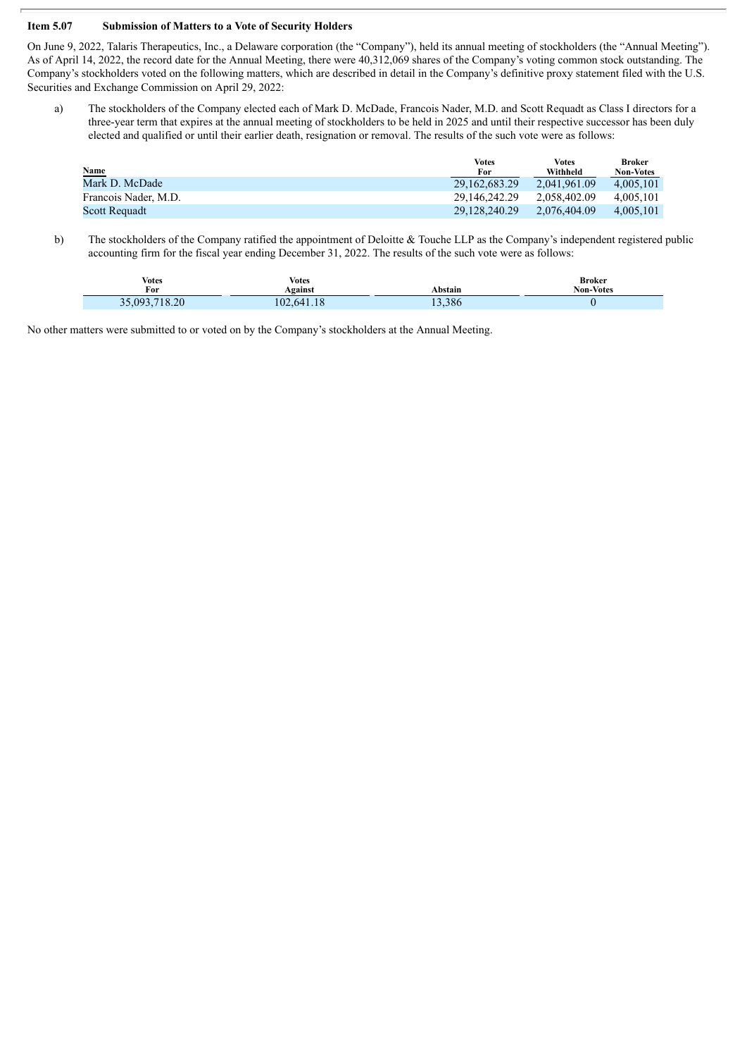#### **Item 5.07 Submission of Matters to a Vote of Security Holders**

On June 9, 2022, Talaris Therapeutics, Inc., a Delaware corporation (the "Company"), held its annual meeting of stockholders (the "Annual Meeting"). As of April 14, 2022, the record date for the Annual Meeting, there were 40,312,069 shares of the Company's voting common stock outstanding. The Company's stockholders voted on the following matters, which are described in detail in the Company's definitive proxy statement filed with the U.S. Securities and Exchange Commission on April 29, 2022:

a) The stockholders of the Company elected each of Mark D. McDade, Francois Nader, M.D. and Scott Requadt as Class I directors for a three-year term that expires at the annual meeting of stockholders to be held in 2025 and until their respective successor has been duly elected and qualified or until their earlier death, resignation or removal. The results of the such vote were as follows:

| <b>Name</b>          | Votes<br>For  | Votes<br>Withheld | Broker<br><b>Non-Votes</b> |
|----------------------|---------------|-------------------|----------------------------|
| Mark D. McDade       | 29.162.683.29 | 2.041.961.09      | 4.005.101                  |
| Francois Nader, M.D. | 29.146.242.29 | 2.058.402.09      | 4.005.101                  |
| Scott Requadt        | 29.128.240.29 | 2.076.404.09      | 4.005.101                  |

b) The stockholders of the Company ratified the appointment of Deloitte & Touche LLP as the Company's independent registered public accounting firm for the fiscal year ending December 31, 2022. The results of the such vote were as follows:

| Votes      | Votes      |         | Broker           |
|------------|------------|---------|------------------|
| For        | Against    | Abstain | <b>Non-Votes</b> |
| 093.718.20 | 102.641.18 | 13,386  |                  |

No other matters were submitted to or voted on by the Company's stockholders at the Annual Meeting.